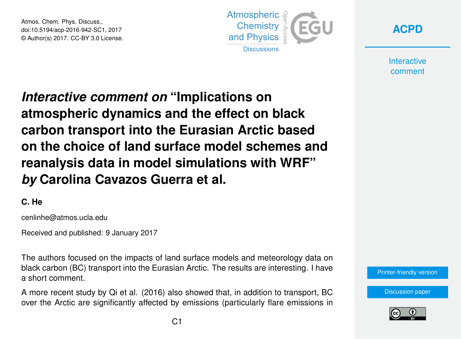Atmos. Chem. Phys. Discuss., doi:10.5194/acp-2016-942-SC1, 2017 © Author(s) 2017. CC-BY 3.0 License.



**[ACPD](http://www.atmos-chem-phys-discuss.net/)**

**Interactive** comment

*Interactive comment on* **"Implications on atmospheric dynamics and the effect on black carbon transport into the Eurasian Arctic based on the choice of land surface model schemes and reanalysis data in model simulations with WRF"** *by* **Carolina Cavazos Guerra et al.**

## **C. He**

cenlinhe@atmos.ucla.edu

Received and published: 9 January 2017

The authors focused on the impacts of land surface models and meteorology data on black carbon (BC) transport into the Eurasian Arctic. The results are interesting. I have a short comment.

A more recent study by Qi et al. (2016) also showed that, in addition to transport, BC over the Arctic are significantly affected by emissions (particularly flare emissions in



[Discussion paper](http://www.atmos-chem-phys-discuss.net/acp-2016-942)